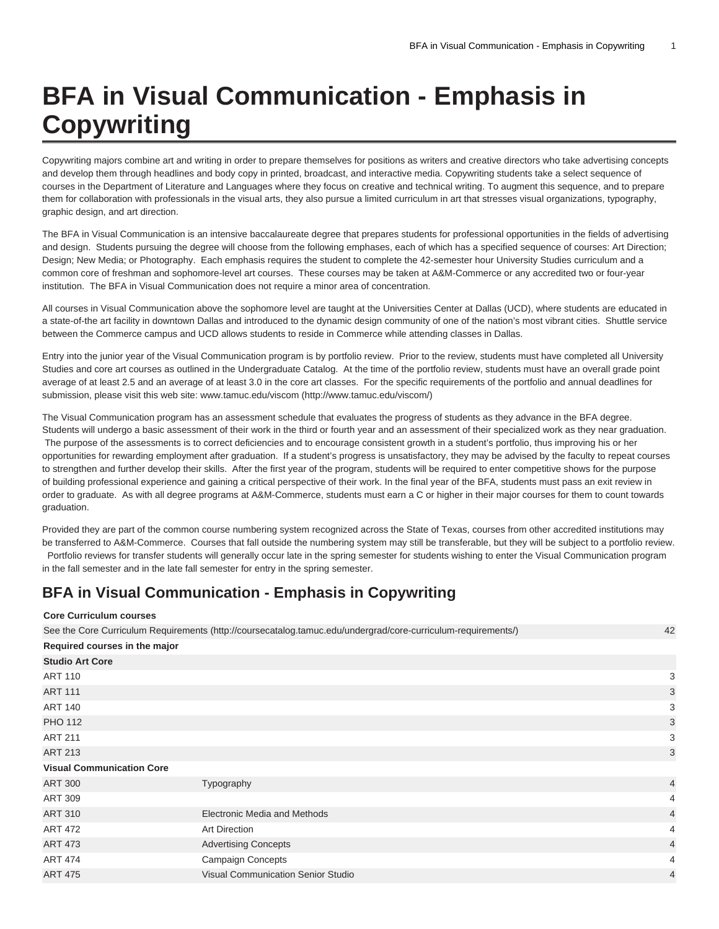## **BFA in Visual Communication - Emphasis in Copywriting**

Copywriting majors combine art and writing in order to prepare themselves for positions as writers and creative directors who take advertising concepts and develop them through headlines and body copy in printed, broadcast, and interactive media. Copywriting students take a select sequence of courses in the Department of Literature and Languages where they focus on creative and technical writing. To augment this sequence, and to prepare them for collaboration with professionals in the visual arts, they also pursue a limited curriculum in art that stresses visual organizations, typography, graphic design, and art direction.

The BFA in Visual Communication is an intensive baccalaureate degree that prepares students for professional opportunities in the fields of advertising and design. Students pursuing the degree will choose from the following emphases, each of which has a specified sequence of courses: Art Direction; Design; New Media; or Photography. Each emphasis requires the student to complete the 42-semester hour University Studies curriculum and a common core of freshman and sophomore-level art courses. These courses may be taken at A&M-Commerce or any accredited two or four-year institution. The BFA in Visual Communication does not require a minor area of concentration.

All courses in Visual Communication above the sophomore level are taught at the Universities Center at Dallas (UCD), where students are educated in a state-of-the art facility in downtown Dallas and introduced to the dynamic design community of one of the nation's most vibrant cities. Shuttle service between the Commerce campus and UCD allows students to reside in Commerce while attending classes in Dallas.

Entry into the junior year of the Visual Communication program is by portfolio review. Prior to the review, students must have completed all University Studies and core art courses as outlined in the Undergraduate Catalog. At the time of the portfolio review, students must have an overall grade point average of at least 2.5 and an average of at least 3.0 in the core art classes. For the specific requirements of the portfolio and annual deadlines for submission, please visit this web site: [www.tamuc.edu/viscom](http://www.tamuc.edu/viscom/) ([http://www.tamuc.edu/viscom/\)](http://www.tamuc.edu/viscom/)

The Visual Communication program has an assessment schedule that evaluates the progress of students as they advance in the BFA degree. Students will undergo a basic assessment of their work in the third or fourth year and an assessment of their specialized work as they near graduation. The purpose of the assessments is to correct deficiencies and to encourage consistent growth in a student's portfolio, thus improving his or her opportunities for rewarding employment after graduation. If a student's progress is unsatisfactory, they may be advised by the faculty to repeat courses to strengthen and further develop their skills. After the first year of the program, students will be required to enter competitive shows for the purpose of building professional experience and gaining a critical perspective of their work. In the final year of the BFA, students must pass an exit review in order to graduate. As with all degree programs at A&M-Commerce, students must earn a C or higher in their major courses for them to count towards graduation.

Provided they are part of the common course numbering system recognized across the State of Texas, courses from other accredited institutions may be transferred to A&M-Commerce. Courses that fall outside the numbering system may still be transferable, but they will be subject to a portfolio review. Portfolio reviews for transfer students will generally occur late in the spring semester for students wishing to enter the Visual Communication program in the fall semester and in the late fall semester for entry in the spring semester.

## **BFA in Visual Communication - Emphasis in Copywriting**

**Core Curriculum courses** See the [Core Curriculum Requirements](http://coursecatalog.tamuc.edu/undergrad/core-curriculum-requirements/) ([http://coursecatalog.tamuc.edu/undergrad/core-curriculum-requirements/\)](http://coursecatalog.tamuc.edu/undergrad/core-curriculum-requirements/) 42 **Required courses in the major Studio Art Core**  $\Delta$ RT 110  $\Delta$ ART 111  $\sim$  3  $\overline{ART}$  140  $\overline{3}$ PHO 112  $\sim$  3  $ART 211$   $3$ ART 213 3 **Visual Communication Core** [ART 300](/search/?P=ART%20300) Typography 4 ART 309 4 [ART 310](/search/?P=ART%20310) **Electronic Media and Methods** 4 **ART 310 ART 310 4** [ART 472](/search/?P=ART%20472) Art Direction 4 [ART 473](/search/?P=ART%20473) **Advertising Concepts** 4 **Advertising Concepts** 4 **Advertising Concepts** 4 **4** [ART 474](/search/?P=ART%20474) Campaign Concepts 4 Compaign Concepts 4 Compaign Concepts 4 Company of the Company of the Company of the Company of the Company of the Company of the Company of the Company of the Company of the Company of the Comp [ART 475](/search/?P=ART%20475) Visual Communication Senior Studio 4